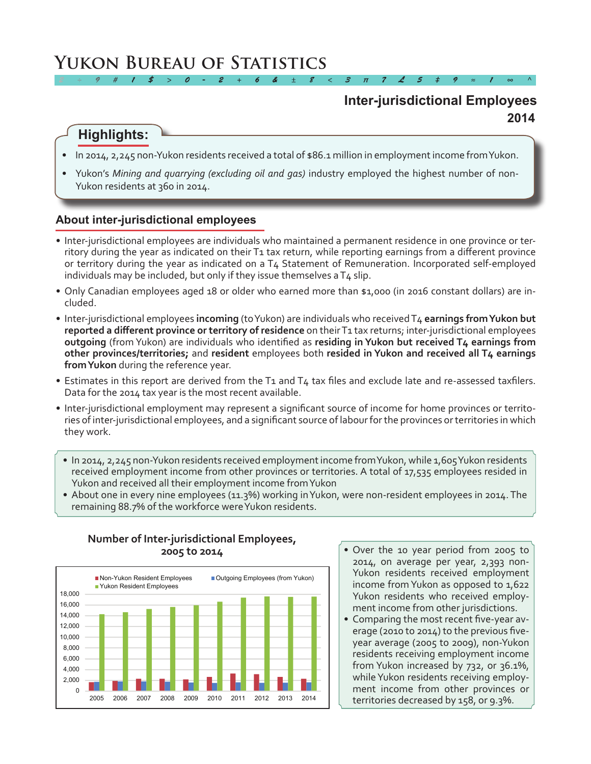# **Yukon Bureau of Statistics**

# **2014 Inter-jurisdictional Employees**

# **Highlights:**

• In 2014, 2,245 non-Yukon residents received a total of \$86.1 million in employmentincome fromYukon.

*2 ÷ 9 # 1 \$ > 0 - 2 + 6 & ± 8 < 3 π 7 £ 5 ‡ 9 ≈ 1 ∞ ^*

Yukon's Mining and quarrying (excluding oil and gas) industry employed the highest number of non-Yukon residents at 360 in 2014.

### **About inter-jurisdictional employees**

- • Inter-jurisdictional employees are individuals who maintained a permanent residence in one province or territory during the year as indicated on their T1 tax return, while reporting earnings from a different province or territory during the year as indicated on a T4 Statement of Remuneration. Incorporated self-employed individuals may be included, but only if they issue themselves a  $T<sub>4</sub>$  slip.
- • Only Canadian employees aged 18 or older who earned more than \$1,000 (in 2016 constant dollars) are included.
- • Inter-jurisdictional employees **incoming** (toYukon) are individuals who receivedT4 **earnings from Yukon but reported a different province or territory of residence** on theirT1 tax returns; inter-jurisdictional employees **outgoing** (from Yukon) are individuals who identified as **residing in Yukon but received T4 earnings from other provinces/territories;** and **resident** employees both **resided in Yukon and received all T4 earnings from Yukon** during the reference year.
- Estimates in this report are derived from the T1 and T4 tax files and exclude late and re-assessed taxfilers. Data for the 2014 tax year is the most recent available.
- • Inter-jurisdictional employment may represent a significant source of income for home provinces or territories of inter-jurisdictional employees, and a significant source of labourforthe provinces orterritories in which they work.
	- In 2014, 2,245 non-Yukon residents received employment income from Yukon, while 1,605 Yukon residents received employment income from other provinces or territories. A total of 17,535 employees resided in Yukon and received all their employment income fromYukon
	- About one in every nine employees (11.3%) working in Yukon, were non-resident employees in 2014. The remaining 88.7% of the workforce were Yukon residents.



### **Number of Inter-jurisdictional Employees, 2005 to 2014**

- Over the 10 year period from 2005 to 2014, on average per year, 2,393 non-Yukon residents received employment income from Yukon as opposed to 1,622 Yukon residents who received employment income from other jurisdictions.
- Comparing the most recent five-year average (2010 to 2014) to the previous fiveyear average (2005 to 2009), non-Yukon residents receiving employment income from Yukon increased by 732, or 36.1%, while Yukon residents receiving employment income from other provinces or territories decreased by 158, or 9.3%.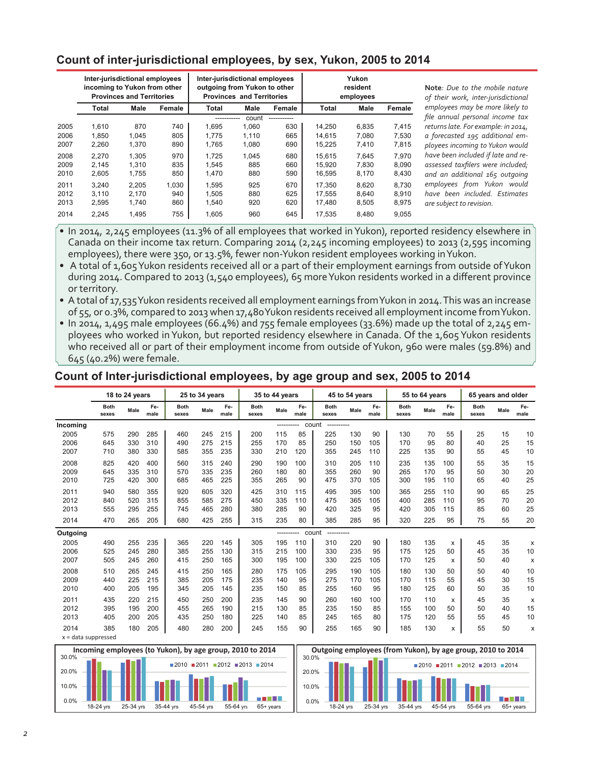### **Count of inter-jurisdictional employees, by sex, Yukon, 2005 to 2014**

|      | Inter-jurisdictional employees<br>incoming to Yukon from other | <b>Provinces and Territories</b> |        | Inter-jurisdictional employees<br>outgoing from Yukon to other | <b>Provinces and Territories</b> |             |        | Yukon<br>resident<br>employees |        |
|------|----------------------------------------------------------------|----------------------------------|--------|----------------------------------------------------------------|----------------------------------|-------------|--------|--------------------------------|--------|
|      | Total                                                          | Male                             | Female | Total                                                          | Male                             | Female      | Total  | Male                           | Female |
|      |                                                                |                                  |        |                                                                | count                            | ----------- |        |                                |        |
| 2005 | 1.610                                                          | 870                              | 740    | 1.695                                                          | 1.060                            | 630         | 14.250 | 6.835                          | 7.415  |
| 2006 | 1.850                                                          | 1.045                            | 805    | 1.775                                                          | 1.110                            | 665         | 14.615 | 7.080                          | 7.530  |
| 2007 | 2,260                                                          | 1,370                            | 890    | 1,765                                                          | 1,080                            | 690         | 15,225 | 7,410                          | 7,815  |
| 2008 | 2.270                                                          | 1.305                            | 970    | 1.725                                                          | 1.045                            | 680         | 15.615 | 7.645                          | 7.970  |
| 2009 | 2.145                                                          | 1.310                            | 835    | 1.545                                                          | 885                              | 660         | 15.920 | 7.830                          | 8,090  |
| 2010 | 2,605                                                          | 1.755                            | 850    | 1.470                                                          | 880                              | 590         | 16,595 | 8,170                          | 8,430  |
| 2011 | 3.240                                                          | 2,205                            | 1,030  | 1,595                                                          | 925                              | 670         | 17.350 | 8,620                          | 8,730  |
| 2012 | 3.110                                                          | 2.170                            | 940    | 1.505                                                          | 880                              | 625         | 17.555 | 8.640                          | 8.910  |
| 2013 | 2,595                                                          | 1.740                            | 860    | 1.540                                                          | 920                              | 620         | 17.480 | 8,505                          | 8,975  |
| 2014 | 2,245                                                          | 1.495                            | 755    | 1,605                                                          | 960                              | 645         | 17,535 | 8.480                          | 9,055  |

**Note***: Due to the mobile nature of their work, inter-jurisdictional employees may be more likely to file annual personal income tax returns late. For example: in 2014, a forecasted 195 additional employees incoming to Yukon would have been included if late and reassessed taxfilers were included; and an additional 165 outgoing employees from Yukon would have been included. Estimates*   $re$  subject to revision.

• In 2014, 2,245 employees (11.3% of all employees that worked in Yukon), reported residency elsewhere in Canada on their income tax return. Comparing 2014 (2,245 incoming employees) to 2013 (2,595 incoming employees), there were 350, or 13.5%, fewer non-Yukon resident employees working in Yukon.

• A total of 1,605 Yukon residents received all or a part of their employment earnings from outside of Yukon during 2014. Compared to 2013 (1,540 employees), 65 moreYukon residents worked in a different province or territory.

• A total of 17,535 Yukon residents received all employment earnings from Yukon in 2014. This was an increase of 55, or 0.3%, compared to 2013 when 17,480 Yukon residents received all employment income from Yukon.

• In 2014, 1,495 male employees (66.4%) and 755 female employees (33.6%) made up the total of 2,245 employees who worked in Yukon, but reported residency elsewhere in Canada. Of the 1,605 Yukon residents who received all or part of their employment income from outside of Yukon, 960 were males (59.8%) and 645 (40.2%) were female.

### **Count of Inter-jurisdictional employees, by age group and sex, 2005 to 2014**

|          |                      | 18 to 24 years |             |                      | 25 to 34 years |             |                      | 35 to 44 years |             |                      | 45 to 54 years |             |                      | 55 to 64 years |                           | 65 years and older   |      |             |
|----------|----------------------|----------------|-------------|----------------------|----------------|-------------|----------------------|----------------|-------------|----------------------|----------------|-------------|----------------------|----------------|---------------------------|----------------------|------|-------------|
|          | <b>Both</b><br>sexes | Male           | Fe-<br>male | <b>Both</b><br>sexes | Male           | Fe-<br>male | <b>Both</b><br>sexes | Male           | Fe-<br>male | <b>Both</b><br>sexes | Male           | Fe-<br>male | <b>Both</b><br>sexes | Male           | Fe-<br>male               | <b>Both</b><br>sexes | Male | Fe-<br>male |
| Incoming |                      |                |             |                      |                |             |                      | ----------     |             | count                |                |             |                      |                |                           |                      |      |             |
| 2005     | 575                  | 290            | 285         | 460                  | 245            | 215         | 200                  | 115            | 85          | 225                  | 130            | 90          | 130                  | 70             | 55                        | 25                   | 15   | 10          |
| 2006     | 645                  | 330            | 310         | 490                  | 275            | 215         | 255                  | 170            | 85          | 250                  | 150            | 105         | 170                  | 95             | 80                        | 40                   | 25   | 15          |
| 2007     | 710                  | 380            | 330         | 585                  | 355            | 235         | 330                  | 210            | 120         | 355                  | 245            | 110         | 225                  | 135            | 90                        | 55                   | 45   | 10          |
| 2008     | 825                  | 420            | 400         | 560                  | 315            | 240         | 290                  | 190            | 100         | 310                  | 205            | 110         | 235                  | 135            | 100                       | 55                   | 35   | 15          |
| 2009     | 645                  | 335            | 310         | 570                  | 335            | 235         | 260                  | 180            | 80          | 355                  | 260            | 90          | 265                  | 170            | 95                        | 50                   | 30   | 20          |
| 2010     | 725                  | 420            | 300         | 685                  | 465            | 225         | 355                  | 265            | 90          | 475                  | 370            | 105         | 300                  | 195            | 110                       | 65                   | 40   | 25          |
| 2011     | 940                  | 580            | 355         | 920                  | 605            | 320         | 425                  | 310            | 115         | 495                  | 395            | 100         | 365                  | 255            | 110                       | 90                   | 65   | 25          |
| 2012     | 840                  | 520            | 315         | 855                  | 585            | 275         | 450                  | 335            | 110         | 475                  | 365            | 105         | 400                  | 285            | 110                       | 95                   | 70   | 20          |
| 2013     | 555                  | 295            | 255         | 745                  | 465            | 280         | 380                  | 285            | 90          | 420                  | 325            | 95          | 420                  | 305            | 115                       | 85                   | 60   | 25          |
| 2014     | 470                  | 265            | 205         | 680                  | 425            | 255         | 315                  | 235            | 80          | 385                  | 285            | 95          | 320                  | 225            | 95                        | 75                   | 55   | 20          |
| Outgoing |                      |                |             |                      |                |             |                      | ----------     |             | count<br>----------  |                |             |                      |                |                           |                      |      |             |
| 2005     | 490                  | 255            | 235         | 365                  | 220            | 145         | 305                  | 195            | 110         | 310                  | 220            | 90          | 180                  | 135            | $\boldsymbol{\mathsf{x}}$ | 45                   | 35   | X           |
| 2006     | 525                  | 245            | 280         | 385                  | 255            | 130         | 315                  | 215            | 100         | 330                  | 235            | 95          | 175                  | 125            | 50                        | 45                   | 35   | 10          |
| 2007     | 505                  | 245            | 260         | 415                  | 250            | 165         | 300                  | 195            | 100         | 330                  | 225            | 105         | 170                  | 125            | x                         | 50                   | 40   | х           |
| 2008     | 510                  | 265            | 245         | 415                  | 250            | 165         | 280                  | 175            | 105         | 295                  | 190            | 105         | 180                  | 130            | 50                        | 50                   | 40   | 10          |
| 2009     | 440                  | 225            | 215         | 385                  | 205            | 175         | 235                  | 140            | 95          | 275                  | 170            | 105         | 170                  | 115            | 55                        | 45                   | 30   | 15          |
| 2010     | 400                  | 205            | 195         | 345                  | 205            | 145         | 235                  | 150            | 85          | 255                  | 160            | 95          | 180                  | 125            | 60                        | 50                   | 35   | 10          |
| 2011     | 435                  | 220            | 215         | 450                  | 250            | 200         | 235                  | 145            | 90          | 260                  | 160            | 100         | 170                  | 110            | X                         | 45                   | 35   | X           |
| 2012     | 395                  | 195            | 200         | 455                  | 265            | 190         | 215                  | 130            | 85          | 235                  | 150            | 85          | 155                  | 100            | 50                        | 50                   | 40   | 15          |
| 2013     | 405                  | 200            | 205         | 435                  | 250            | 180         | 225                  | 140            | 85          | 245                  | 165            | 80          | 175                  | 120            | 55                        | 55                   | 45   | 10          |
| 2014     | 385                  | 180            | 205         | 480                  | 280            | 200         | 245                  | 155            | 90          | 255                  | 165            | 90          | 185                  | 130            | x                         | 55                   | 50   | X           |





x = data suppressed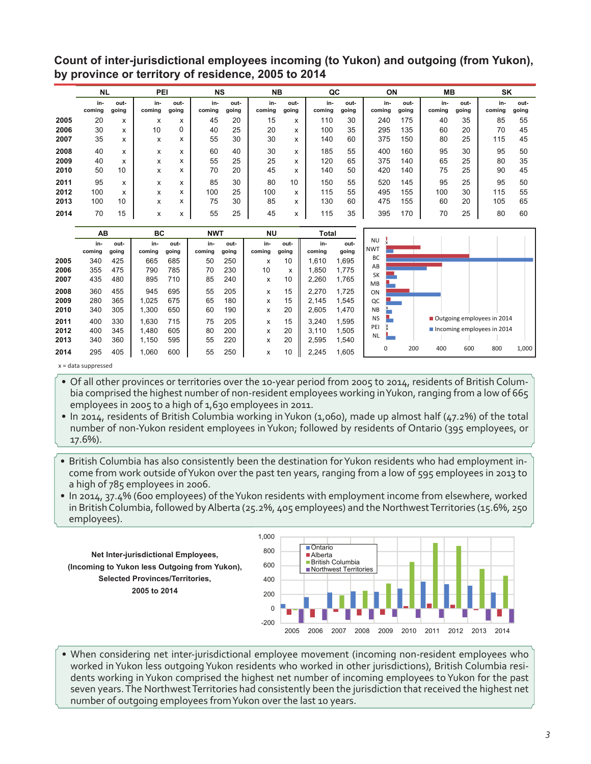**Count of inter-jurisdictional employees incoming (to Yukon) and outgoing (from Yukon), by province or territory of residence, 2005 to 2014**

|      | <b>NL</b>     |               | PEI           |               | <b>NS</b>     |               | <b>NB</b>     |               | QC            |               | ON            |               | <b>MB</b>     |               | SK            |               |
|------|---------------|---------------|---------------|---------------|---------------|---------------|---------------|---------------|---------------|---------------|---------------|---------------|---------------|---------------|---------------|---------------|
|      | in-<br>coming | out-<br>going | in-<br>coming | out-<br>going | in-<br>coming | out-<br>going | in-<br>coming | out-<br>going | in-<br>coming | out-<br>going | in-<br>coming | out-<br>going | in-<br>coming | out-<br>going | in-<br>coming | out-<br>going |
| 2005 | 20            | x             | x             | x             | 45            | 20            | 15            | x             | 110           | 30            | 240           | 175           | 40            | 35            | 85            | 55            |
| 2006 | 30            | x             | 10            | 0             | 40            | 25            | 20            | x             | 100           | 35            | 295           | 135           | 60            | 20            | 70            | 45            |
| 2007 | 35            | x             | X             | x             | 55            | 30            | 30            | x             | 140           | 60            | 375           | 150           | 80            | 25            | 115           | 45            |
| 2008 | 40            | X             | x             | x             | 60            | 40            | 30            | x             | 185           | 55            | 400           | 160           | 95            | 30            | 95            | 50            |
| 2009 | 40            | x             | X             | x             | 55            | 25            | 25            | x             | 120           | 65            | 375           | 140           | 65            | 25            | 80            | 35            |
| 2010 | 50            | 10            | x             | x             | 70            | 20            | 45            | x             | 140           | 50            | 420           | 140           | 75            | 25            | 90            | 45            |
| 2011 | 95            | x             | x             | x             | 85            | 30            | 80            | 10            | 150           | 55            | 520           | 145           | 95            | 25            | 95            | 50            |
| 2012 | 100           | x             | x             | x             | 100           | 25            | 100           | x             | 115           | 55            | 495           | 155           | 100           | 30            | 115           | 55            |
| 2013 | 100           | 10            | X             | x             | 75            | 30            | 85            | x             | 130           | 60            | 475           | 155           | 60            | 20            | 105           | 65            |
| 2014 | 70            | 15            | x             | x             | 55            | 25            | 45            | x             | 115           | 35            | 395           | 170           | 70            | 25            | 80            | 60            |

|      | AB     |       | ВC     |       | <b>NWT</b> |       | <b>NU</b> |       | Total  |       |                         |   |     |     |     |                            |       |
|------|--------|-------|--------|-------|------------|-------|-----------|-------|--------|-------|-------------------------|---|-----|-----|-----|----------------------------|-------|
|      | in-    | out-  | in-    | out-  | in-        | out-  | in-       | out-  | in-    | out-  | <b>NU</b><br><b>NWT</b> |   |     |     |     |                            |       |
|      | coming | going | coming | going | coming     | going | coming    | going | coming | going |                         |   |     |     |     |                            |       |
| 2005 | 340    | 425   | 665    | 685   | 50         | 250   | x         | 10    | 1,610  | 1,695 | BC                      |   |     |     |     |                            |       |
| 2006 | 355    | 475   | 790    | 785   | 70         | 230   | 10        | x     | 1,850  | 1.775 | AB                      |   |     |     |     |                            |       |
| 2007 | 435    | 480   | 895    | 710   | 85         | 240   | x         | 10    | 2,260  | 1,765 | <b>SK</b><br><b>MB</b>  |   |     |     |     |                            |       |
| 2008 | 360    | 455   | 945    | 695   | 55         | 205   | x         | 15    | 2.270  | 1.725 | ON                      |   |     |     |     |                            |       |
| 2009 | 280    | 365   | 1,025  | 675   | 65         | 180   | x         | 15    | 2.145  | 1,545 | QC                      |   |     |     |     |                            |       |
| 2010 | 340    | 305   | 1,300  | 650   | 60         | 190   | x         | 20    | 2.605  | 1.470 | <b>NB</b>               |   |     |     |     |                            |       |
| 2011 | 400    | 330   | 1,630  | 715   | 75         | 205   | x         | 15    | 3.240  | .595  | <b>NS</b>               |   |     |     |     | Outgoing employees in 2014 |       |
| 2012 | 400    | 345   | 1.480  | 605   | 80         | 200   | x         | 20    | 3.110  | 1,505 | PEI                     |   |     |     |     | Incoming employees in 2014 |       |
| 2013 | 340    | 360   | 1,150  | 595   | 55         | 220   | x         | 20    | 2,595  | 540.ا | <b>NL</b>               |   |     |     |     |                            |       |
| 2014 | 295    | 405   | ,060   | 600   | 55         | 250   | x         | 10    | 2.245  | .605  |                         | 0 | 200 | 400 | 600 | 800                        | 1,000 |

x = data suppressed

• Of all other provinces or territories over the 10-year period from 2005 to 2014, residents of British Columbia comprised the highest number of non-resident employees working inYukon, ranging from a low of 665 employees in 2005 to a high of 1,630 employees in 2011.

• In 2014, residents of British Columbia working in Yukon (1,060), made up almost half (47.2%) of the total number of non-Yukon resident employees inYukon; followed by residents of Ontario (395 employees, or 17.6%).

• British Columbia has also consistently been the destination for Yukon residents who had employment income from work outside ofYukon over the past ten years, ranging from a low of 595 employees in 2013 to a high of 785 employees in 2006.

• In 2014, 37.4% (600 employees) of the Yukon residents with employment income from elsewhere, worked in British Columbia, followed by Alberta (25.2%, 405 employees) and the Northwest Territories (15.6%, 250 employees). **(Incoming to Yukon less Outgoing from Yukon), Selected Provinces/Territories, 2005 to 2014**



• When considering net inter-jurisdictional employee movement (incoming non-resident employees who worked inYukon less outgoingYukon residents who worked in other jurisdictions), British Columbia residents working in Yukon comprised the highest net number of incoming employees to Yukon for the past seven years. The Northwest Territories had consistently been the jurisdiction that received the highest net number of outgoing employees fromYukon over the last 10 years.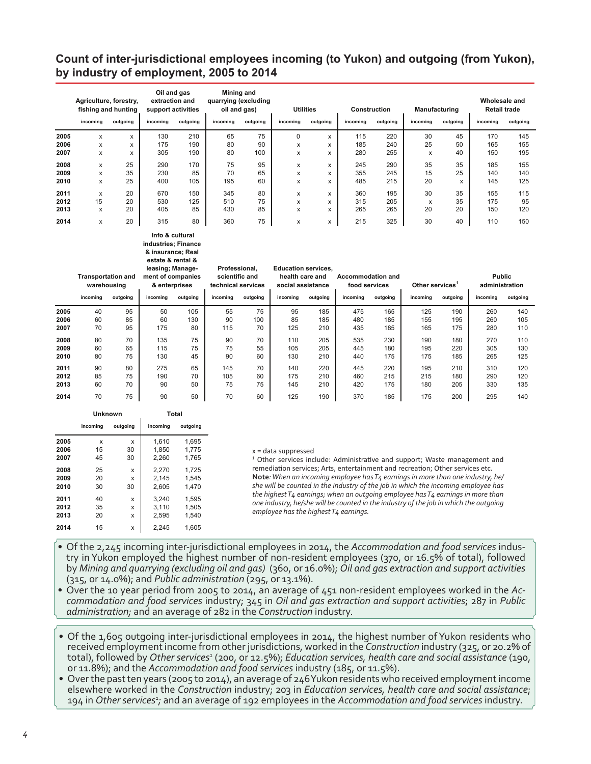### **Count of inter-jurisdictional employees incoming (to Yukon) and outgoing (from Yukon), by industry of employment, 2005 to 2014**

|      | Agriculture, forestry,<br>fishing and hunting<br>incoming | outgoing | Oil and gas<br>extraction and<br>support activities<br>incomina | outgoing | Mining and<br>quarrying (excluding<br>oil and gas)<br>incoming | outgoing | <b>Utilities</b><br>incoming | outgoing | incoming | <b>Construction</b><br>outgoing | <b>Manufacturing</b><br>incoming | outgoing | Wholesale and<br><b>Retail trade</b><br>incoming | outgoing |
|------|-----------------------------------------------------------|----------|-----------------------------------------------------------------|----------|----------------------------------------------------------------|----------|------------------------------|----------|----------|---------------------------------|----------------------------------|----------|--------------------------------------------------|----------|
| 2005 | x                                                         | x        | 130                                                             | 210      | 65                                                             | 75       | 0                            | x        | 115      | 220                             | 30                               | 45       | 170                                              | 145      |
| 2006 | x                                                         | x        | 175                                                             | 190      | 80                                                             | 90       | x                            | x        | 185      | 240                             | 25                               | 50       | 165                                              | 155      |
| 2007 | x                                                         | x        | 305                                                             | 190      | 80                                                             | 100      | x                            | x        | 280      | 255                             | x                                | 40       | 150                                              | 195      |
| 2008 | x                                                         | 25       | 290                                                             | 170      | 75                                                             | 95       | x                            | x        | 245      | 290                             | 35                               | 35       | 185                                              | 155      |
| 2009 | x                                                         | 35       | 230                                                             | 85       | 70                                                             | 65       | x                            | x        | 355      | 245                             | 15                               | 25       | 140                                              | 140      |
| 2010 | x                                                         | 25       | 400                                                             | 105      | 195                                                            | 60       | x                            | x        | 485      | 215                             | 20                               | x        | 145                                              | 125      |
| 2011 | x                                                         | 20       | 670                                                             | 150      | 345                                                            | 80       | x                            | x        | 360      | 195                             | 30                               | 35       | 155                                              | 115      |
| 2012 | 15                                                        | 20       | 530                                                             | 125      | 510                                                            | 75       | x                            | x        | 315      | 205                             | x                                | 35       | 175                                              | 95       |
| 2013 | x                                                         | 20       | 405                                                             | 85       | 430                                                            | 85       | x                            | x        | 265      | 265                             | 20                               | 20       | 150                                              | 120      |
| 2014 | x                                                         | 20       | 315                                                             | 80       | 360                                                            | 75       | x                            | x        | 215      | 325                             | 30                               | 40       | 110                                              | 150      |

#### **Info & cultural industries; Finance & insurance; Real estate & rental &**

|      | <b>Transportation and</b><br>warehousing<br>incoming | outgoing | leasing; Manage-<br>ment of companies<br>& enterprises<br>incomina | outgoing | Professional.<br>scientific and<br>technical services<br>incomina | outgoing | <b>Education services.</b><br>health care and<br>social assistance<br>incomina | outgoing | Accommodation and<br>food services<br>incomina | outgoing | Other services <sup>1</sup><br>incomina | outgoing | <b>Public</b><br>administration<br>incomina | outgoing |
|------|------------------------------------------------------|----------|--------------------------------------------------------------------|----------|-------------------------------------------------------------------|----------|--------------------------------------------------------------------------------|----------|------------------------------------------------|----------|-----------------------------------------|----------|---------------------------------------------|----------|
|      |                                                      |          |                                                                    |          |                                                                   |          |                                                                                |          |                                                |          |                                         |          |                                             |          |
| 2005 | 40                                                   | 95       | 50                                                                 | 105      | 55                                                                | 75       | 95                                                                             | 185      | 475                                            | 165      | 125                                     | 190      | 260                                         | 140      |
| 2006 | 60                                                   | 85       | 60                                                                 | 130      | 90                                                                | 100      | 85                                                                             | 185      | 480                                            | 185      | 155                                     | 195      | 260                                         | 105      |
| 2007 | 70                                                   | 95       | 175                                                                | 80       | 115                                                               | 70       | 125                                                                            | 210      | 435                                            | 185      | 165                                     | 175      | 280                                         | 110      |
| 2008 | 80                                                   | 70       | 135                                                                | 75       | 90                                                                | 70       | 110                                                                            | 205      | 535                                            | 230      | 190                                     | 180      | 270                                         | 110      |
| 2009 | 60                                                   | 65       | 115                                                                | 75       | 75                                                                | 55       | 105                                                                            | 205      | 445                                            | 180      | 195                                     | 220      | 305                                         | 130      |
| 2010 | 80                                                   | 75       | 130                                                                | 45       | 90                                                                | 60       | 130                                                                            | 210      | 440                                            | 175      | 175                                     | 185      | 265                                         | 125      |
| 2011 | 90                                                   | 80       | 275                                                                | 65       | 145                                                               | 70       | 140                                                                            | 220      | 445                                            | 220      | 195                                     | 210      | 310                                         | 120      |
| 2012 | 85                                                   | 75       | 190                                                                | 70       | 105                                                               | 60       | 175                                                                            | 210      | 460                                            | 215      | 215                                     | 180      | 290                                         | 120      |
| 2013 | 60                                                   | 70       | 90                                                                 | 50       | 75                                                                | 75       | 145                                                                            | 210      | 420                                            | 175      | 180                                     | 205      | 330                                         | 135      |
| 2014 | 70                                                   | 75       | 90                                                                 | 50       | 70                                                                | 60       | 125                                                                            | 190      | 370                                            | 185      | 175                                     | 200      | 295                                         | 140      |

|      | <b>Unknown</b> |          | Total    |          |
|------|----------------|----------|----------|----------|
|      | incoming       | outgoing | incoming | outgoing |
| 2005 | x              | x        | 1.610    | 1.695    |
| 2006 | 15             | 30       | 1,850    | 1.775    |
| 2007 | 45             | 30       | 2,260    | 1.765    |
| 2008 | 25             | X        | 2.270    | 1.725    |
| 2009 | 20             | x        | 2,145    | 1,545    |
| 2010 | 30             | 30       | 2.605    | 1.470    |
| 2011 | 40             | X        | 3,240    | 1,595    |
| 2012 | 35             | x        | 3,110    | 1,505    |
| 2013 | 20             | x        | 2,595    | 1.540    |
| 2014 | 15             | x        | 2.245    | 1.605    |

#### x = data suppressed

<sup>1</sup> Other services include: Administrative and support; Waste management and remediation services; Arts, entertainment and recreation; Other services etc. **Note***: When an incoming employee has T4 earnings in more than one industry, he/ she will be counted in the industry of the job in which the incoming employee has the highest T4 earnings; when an outgoing employee has T4 earnings in more than one industry, he/she will be counted in the industry of the job in which the outgoing employee has the highest T4 earnings.*

- • Of the 2,245 incoming inter-jurisdictional employees in 2014, the *Accommodation and food services* indus- try in Yukon employed the highest number of non-resident employees (370, or 16.5% of total), followed by *Mining and quarrying (excluding oil and gas)* (360, or 16.0%); *Oil and gas extraction and support activities* (315, or 14.0%); and *Public administration* (295, or 13.1%).
- Over the 10 year period from 2005 to 2014, an average of 451 non-resident employees worked in the Accommodation and food services industry; 345 in Oil and gas extraction and support activities; 287 in Public *administration;* and an average of 282 in the *Construction* industry.
- Of the 1,605 outgoing inter-jurisdictional employees in 2014, the highest number of Yukon residents who received employment income from other jurisdictions, worked in the *Construction* industry (325, or 20.2% of total), followed by *Other services1* (200, or 12.5%); *Education services, health care and social assistance* (190, or 11.8%); and the *Accommodation and food services* industry (185, or 11.5%).
- Over the past ten years (2005 to 2014), an average of 246Yukon residents who received employment income elsewhere worked in the *Construction* industry; 203 in *Education services, health care and social assistance*; 194 in *Other services1 ;* and an average of 192 employees in the *Accommodation and food services* industry.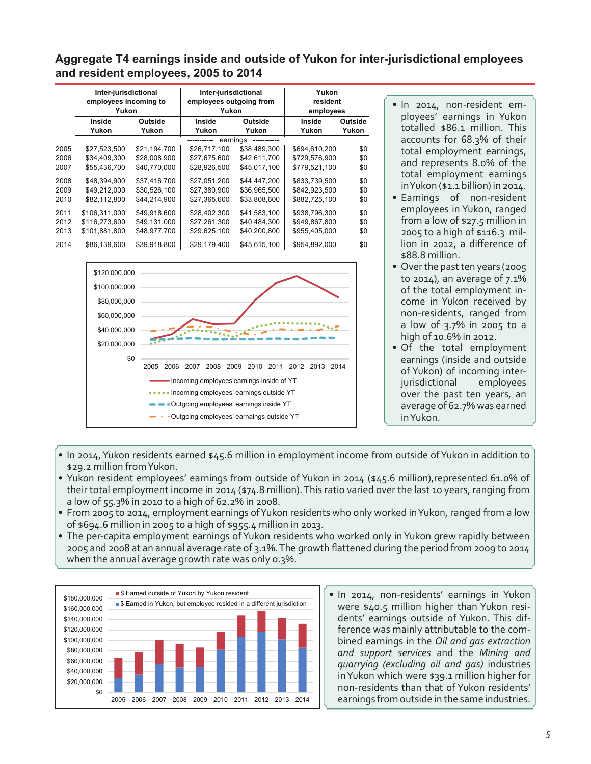### **Aggregate T4 earnings inside and outside of Yukon for inter-jurisdictional employees and resident employees, 2005 to 2014**

|      | Inter-jurisdictional<br>employees incoming to<br>Yukon |              | Inter-jurisdictional<br>employees outgoing from<br>Yukon |              | Yukon<br>resident<br>employees |         |
|------|--------------------------------------------------------|--------------|----------------------------------------------------------|--------------|--------------------------------|---------|
|      | Inside                                                 | Outside      | Inside                                                   | Outside      | Inside                         | Outside |
|      | Yukon                                                  | Yukon        | Yukon                                                    | Yukon        | Yukon                          | Yukon   |
|      |                                                        |              | earnings                                                 |              |                                |         |
| 2005 | \$27.523.500                                           | \$21.194.700 | \$26,717,100                                             | \$38,489,300 | \$694.610.200                  | \$0     |
| 2006 | \$34,409,300                                           | \$28,008,900 | \$27,675,600                                             | \$42,611,700 | \$729,576,900                  | \$0     |
| 2007 | \$55.436.700                                           | \$40.770.000 | \$28,926,500                                             | \$45,017,100 | \$779,521,100                  | \$0     |
| 2008 | \$48,394,900                                           | \$37,416,700 | \$27,051,200                                             | \$44,447,200 | \$833,739,500                  | \$0     |
| 2009 | \$49,212,000                                           | \$30,526,100 | \$27,380,900                                             | \$36,965,500 | \$842,923,500                  | \$0     |
| 2010 | \$82,112,800                                           | \$44.214.900 | \$27,365,600                                             | \$33,808,600 | \$882,725,100                  | \$0     |
| 2011 | \$106.311.000                                          | \$49.918.600 | \$28,402,300                                             | \$41.583.100 | \$938.796.300                  | \$0     |
| 2012 | \$116,273,600                                          | \$49,131,000 | \$27,261,300                                             | \$40,484,300 | \$949,867,800                  | \$0     |
| 2013 | \$101,881,800                                          | \$48,977,700 | \$29,625,100                                             | \$40,200,800 | \$955,405,000                  | \$0     |
| 2014 | \$86,139,600                                           | \$39.918.800 | \$29.179.400                                             | \$45.615.100 | \$954.892.000                  | \$0     |



• In 2014, non-resident employees' earnings in Yukon totalled \$86.1 million. This accounts for 68.3% of their total employment earnings, and represents 8.0% of the total employment earnings inYukon (\$1.1 billion) in 2014.

- Earnings of non-resident employees in Yukon, ranged from a low of \$27.5 million in 2005 to a high of \$116.3 million in 2012, a difference of \$88.8 million.
- Over the past ten years (2005 to 2014), an average of 7.1% of the total employment income in Yukon received by non-residents, ranged from a low of 3.7% in 2005 to a high of 10.6% in 2012.
- Of the total employment earnings (inside and outside of Yukon) of incoming interjurisdictional employees over the past ten years, an average of 62.7% was earned inYukon.
- In 2014, Yukon residents earned \$45.6 million in employment income from outside of Yukon in addition to \$29.2 million fromYukon.
- • Yukon resident employees' earnings from outside of Yukon in 2014 (\$45.6 million),represented 61.0% of their total employment income in 2014 (\$74.8 million). This ratio varied over the last 10 years, ranging from a low of 55.3% in 2010 to a high of 62.2% in 2008.
- From 2005 to 2014, employment earnings of Yukon residents who only worked in Yukon, ranged from a low of \$694.6 million in 2005 to a high of \$955.4 million in 2013.
- The per-capita employment earnings of Yukon residents who worked only in Yukon grew rapidly between 2005 and 2008 at an annual average rate of 3.1%.The growth flattened during the period from 2009 to 2014 when the annual average growth rate was only 0.3%.



• In 2014, non-residents' earnings in Yukon were \$40.5 million higher than Yukon residents' earnings outside of Yukon. This difference was mainly attributable to the combined earnings in the *Oil and gas extraction and support services* and the *Mining and quarrying (excluding oil and gas)* industries inYukon which were \$39.1 million higher for non-residents than that of Yukon residents' earnings from outside in the same industries.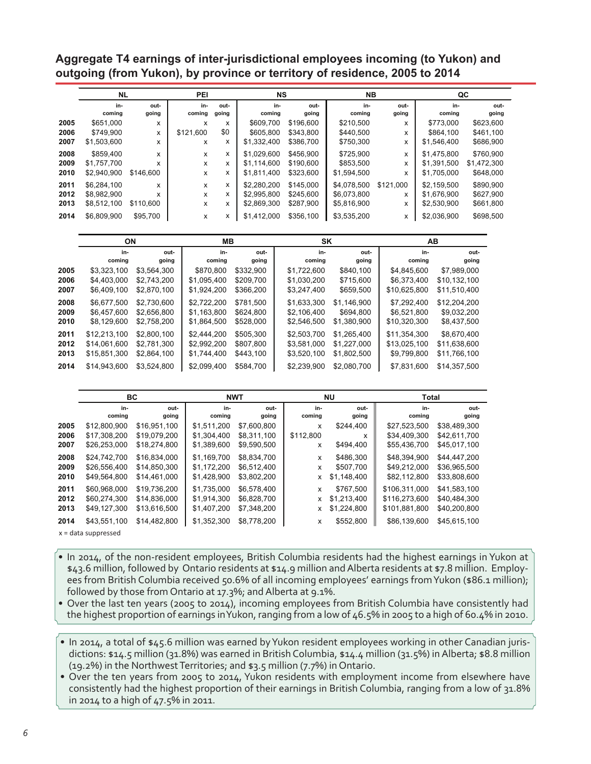**Aggregate T4 earnings of inter-jurisdictional employees incoming (to Yukon) and outgoing (from Yukon), by province or territory of residence, 2005 to 2014**

|      | <b>NL</b>     |               | <b>PEI</b>    |               | <b>NS</b>     |               | <b>NB</b>     |               |               | QC            |
|------|---------------|---------------|---------------|---------------|---------------|---------------|---------------|---------------|---------------|---------------|
|      | in-<br>coming | out-<br>going | in-<br>coming | out-<br>going | in-<br>coming | out-<br>going | in-<br>coming | out-<br>going | in-<br>coming | out-<br>going |
| 2005 | \$651,000     | x             | X             | x             | \$609.700     | \$196,600     | \$210.500     | x             | \$773,000     | \$623,600     |
| 2006 | \$749.900     | X             | \$121.600     | \$0           | \$605,800     | \$343.800     | \$440,500     | x             | \$864,100     | \$461,100     |
| 2007 | \$1,503,600   | x             | X             | x             | \$1,332,400   | \$386,700     | \$750,300     | x             | \$1,546,400   | \$686,900     |
| 2008 | \$859.400     | X             | X             | x             | \$1.029.600   | \$456.900     | \$725,900     | x             | \$1,475,800   | \$760.900     |
| 2009 | \$1,757,700   | x             | X             | x             | \$1,114,600   | \$190.600     | \$853,500     | x             | \$1,391,500   | \$1,472,300   |
| 2010 | \$2,940,900   | \$146,600     | X             | x             | \$1,811,400   | \$323,600     | \$1,594,500   | x             | \$1,705,000   | \$648,000     |
| 2011 | \$6.284.100   | X             | x             | x             | \$2,280,200   | \$145,000     | \$4,078,500   | \$121.000     | \$2.159.500   | \$890.900     |
| 2012 | \$8,982,900   | x             | x             | x             | \$2,995,800   | \$245.600     | \$6,073,800   | x             | \$1,676,900   | \$627,900     |
| 2013 | \$8,512,100   | \$110,600     | x             | x             | \$2,869,300   | \$287,900     | \$5,816,900   | x             | \$2,530,900   | \$661,800     |
| 2014 | \$6,809,900   | \$95,700      | x             | x             | \$1,412,000   | \$356,100     | \$3,535,200   | x             | \$2,036,900   | \$698,500     |
|      |               |               |               |               |               |               |               |               |               |               |

|      | ΟN           |             | MВ          |           | SK          |             |              | AВ           |
|------|--------------|-------------|-------------|-----------|-------------|-------------|--------------|--------------|
|      | in-          | out-        | in-         | out-      | in-         | out-        | in-          | out-         |
|      | coming       | going       | coming      | going     | coming      | going       | coming       | going        |
| 2005 | \$3.323.100  | \$3.564.300 | \$870,800   | \$332.900 | \$1.722.600 | \$840.100   | \$4.845.600  | \$7.989.000  |
| 2006 | \$4,403,000  | \$2,743,200 | \$1,095,400 | \$209,700 | \$1,030,200 | \$715,600   | \$6,373,400  | \$10,132,100 |
| 2007 | \$6,409,100  | \$2,870,100 | \$1,924,200 | \$366,200 | \$3,247,400 | \$659,500   | \$10,625,800 | \$11,510,400 |
| 2008 | \$6,677,500  | \$2,730,600 | \$2,722,200 | \$781.500 | \$1.633.300 | \$1.146.900 | \$7,292,400  | \$12,204,200 |
| 2009 | \$6,457,600  | \$2,656,800 | \$1,163,800 | \$624.800 | \$2.106.400 | \$694,800   | \$6,521,800  | \$9,032,200  |
| 2010 | \$8,129,600  | \$2,758,200 | \$1,864,500 | \$528,000 | \$2,546,500 | \$1,380,900 | \$10,320,300 | \$8,437,500  |
| 2011 | \$12,213,100 | \$2,800.100 | \$2.444.200 | \$505.300 | \$2,503,700 | \$1.265.400 | \$11.354.300 | \$8.670.400  |
| 2012 | \$14,061,600 | \$2,781,300 | \$2,992,200 | \$807,800 | \$3,581,000 | \$1.227.000 | \$13,025,100 | \$11,638,600 |
| 2013 | \$15,851,300 | \$2.864.100 | \$1.744.400 | \$443.100 | \$3,520,100 | \$1.802.500 | \$9,799,800  | \$11.766.100 |
| 2014 | \$14,943,600 | \$3.524.800 | \$2.099.400 | \$584.700 | \$2.239.900 | \$2.080.700 | \$7,831,600  | \$14.357.500 |

|      | BC                    |              |             | <b>NWT</b>  |           | <b>NU</b>   | <b>Total</b>  |              |  |
|------|-----------------------|--------------|-------------|-------------|-----------|-------------|---------------|--------------|--|
|      | in-                   | out-         | in-         | out-        | in-       | out-        | in-           | out-         |  |
|      | coming                | going        | coming      | going       | coming    | going       | coming        | going        |  |
| 2005 | \$12,800,900          | \$16.951.100 | \$1,511,200 | \$7,600,800 | x         | \$244,400   | \$27,523,500  | \$38,489,300 |  |
| 2006 | \$17,308,200          | \$19,079,200 | \$1,304,400 | \$8,311,100 | \$112,800 | x           | \$34,409,300  | \$42,611,700 |  |
| 2007 | \$26,253,000          | \$18,274,800 | \$1,389,600 | \$9,590,500 | x         | \$494,400   | \$55,436,700  | \$45,017,100 |  |
| 2008 | \$24,742,700          | \$16,834,000 | \$1,169,700 | \$8,834,700 | x         | \$486,300   | \$48,394,900  | \$44,447,200 |  |
| 2009 | \$26,556,400          | \$14.850.300 | \$1,172,200 | \$6,512,400 | x         | \$507,700   | \$49,212,000  | \$36,965,500 |  |
| 2010 | \$49,564,800          | \$14,461,000 | \$1,428,900 | \$3,802,200 | x         | \$1,148,400 | \$82,112,800  | \$33,808,600 |  |
| 2011 | \$60.968.000          | \$19.736.200 | \$1.735.000 | \$6.578.400 | x         | \$767.500   | \$106.311.000 | \$41.583.100 |  |
| 2012 | \$60,274,300          | \$14,836,000 | \$1,914,300 | \$6,828,700 | x         | \$1,213,400 | \$116,273,600 | \$40,484,300 |  |
| 2013 | \$49,127,300          | \$13,616,500 | \$1,407,200 | \$7,348,200 | x         | \$1,224,800 | \$101,881,800 | \$40,200,800 |  |
| 2014 | \$43,551,100          | \$14,482,800 | \$1,352,300 | \$8,778,200 | x         | \$552,800   | \$86,139,600  | \$45,615,100 |  |
|      | $x = data$ suppressed |              |             |             |           |             |               |              |  |

- In 2014, of the non-resident employees, British Columbia residents had the highest earnings in Yukon at \$43.6 million, followed by Ontario residents at \$14.9 million and Alberta residents at \$7.8 million. Employees from British Columbia received 50.6% of all incoming employees' earnings from Yukon (\$86.1 million); followed by those from Ontario at 17.3%; and Alberta at 9.1%.
- Over the last ten years (2005 to 2014), incoming employees from British Columbia have consistently had the highest proportion of earnings inYukon, ranging from a low of 46.5% in 2005 to a high of 60.4% in 2010.
- In 2014, a total of \$45.6 million was earned by Yukon resident employees working in other Canadian jurisdictions: \$14.5 million (31.8%) was earned in British Columbia, \$14.4 million (31.5%) inAlberta; \$8.8 million (19.2%) in the NorthwestTerritories; and \$3.5 million (7.7%) in Ontario.
- Over the ten years from 2005 to 2014, Yukon residents with employment income from elsewhere have consistently had the highest proportion of their earnings in British Columbia, ranging from a low of 31.8% in 2014 to a high of 47.5% in 2011.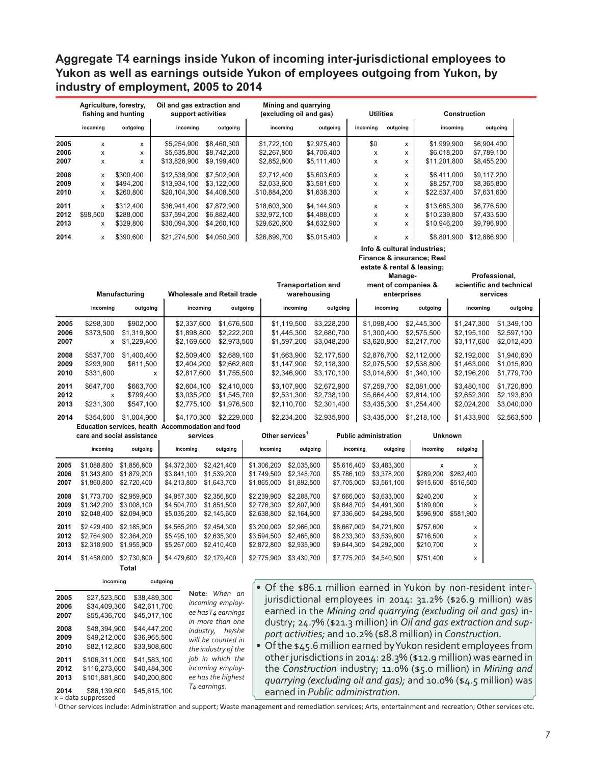### **Aggregate T4 earnings inside Yukon of incoming inter-jurisdictional employees to Yukon as well as earnings outside Yukon of employees outgoing from Yukon, by industry of employment, 2005 to 2014**

|      | Agriculture, forestry,<br>fishing and hunting |           | Oil and gas extraction and<br>support activities |             | Mining and quarrying<br>(excluding oil and gas) |             | <b>Utilities</b> |          | <b>Construction</b> |              |
|------|-----------------------------------------------|-----------|--------------------------------------------------|-------------|-------------------------------------------------|-------------|------------------|----------|---------------------|--------------|
|      | incoming                                      | outgoing  | incoming                                         | outgoing    | incoming                                        | outgoing    | incoming         | outgoing | incoming            | outgoing     |
| 2005 | x                                             | x         | \$5,254,900                                      | \$8,460,300 | \$1,722,100                                     | \$2,975,400 | \$0              | x        | \$1,999,900         | \$6,904,400  |
| 2006 | x                                             | x         | \$5.635.800                                      | \$8.742.200 | \$2,267,800                                     | \$4,706,400 | x                | x        | \$6.018.200         | \$7.789.100  |
| 2007 | x                                             | X         | \$13,826,900                                     | \$9,199,400 | \$2,852,800                                     | \$5,111,400 | x                | x        | \$11,201,800        | \$8,455,200  |
| 2008 | x                                             | \$300,400 | \$12,538,900                                     | \$7,502,900 | \$2,712,400                                     | \$5,603,600 | x                | x        | \$6.411.000         | \$9.117.200  |
| 2009 | x                                             | \$494.200 | \$13.934.100                                     | \$3.122.000 | \$2,033,600                                     | \$3,581,600 | x                | x        | \$8,257,700         | \$8,365,800  |
| 2010 | x                                             | \$260,800 | \$20,104,300                                     | \$4,408,500 | \$10.884.200                                    | \$1,638,300 | x                | x        | \$22,537,400        | \$7,631,600  |
| 2011 | x                                             | \$312,400 | \$36,941,400                                     | \$7.872.900 | \$18,603,300                                    | \$4,144,900 | x                | x        | \$13.685.300        | \$6,776,500  |
| 2012 | \$98,500                                      | \$288,000 | \$37,594,200                                     | \$6,882,400 | \$32,972,100                                    | \$4,488,000 | x                | x        | \$10,239,800        | \$7,433,500  |
| 2013 | x                                             | \$329.800 | \$30.094.300                                     | \$4,260,100 | \$29,620,600                                    | \$4,632,900 | x                | x        | \$10.946.200        | \$9,796,900  |
| 2014 | x                                             | \$390,600 | \$21.274.500                                     | \$4.050.900 | \$26,899,700                                    | \$5.015.400 | x                | x        | \$8.801.900         | \$12,886,900 |

#### **Info & cultural industries;**

**Finance & insurance; Real** 

**estate & rental & leasing;** 

|      | <b>Manufacturing</b>                                |                                                              | <b>Wholesale and Retail trade</b>                             |                        | <b>Transportation and</b><br>warehousing               |                                    | Manage-<br>ment of companies &<br>enterprises           |                                           | Professional,<br>scientific and technical<br>services |             |
|------|-----------------------------------------------------|--------------------------------------------------------------|---------------------------------------------------------------|------------------------|--------------------------------------------------------|------------------------------------|---------------------------------------------------------|-------------------------------------------|-------------------------------------------------------|-------------|
|      | incoming                                            | outgoing                                                     | incoming                                                      | outgoing               | incoming                                               | outgoing                           | incoming                                                | outgoing                                  | incoming                                              | outgoing    |
| 2005 | \$298,300                                           | \$902,000                                                    | \$2,337,600                                                   | \$1,676,500            | \$1,119,500                                            | \$3,228,200                        | \$1,098,400                                             | \$2,445,300                               | \$1,247,300                                           | \$1,349,100 |
| 2006 | \$373,500                                           | \$1,319,800                                                  | \$1,898,800                                                   | \$2,222,200            | \$1,445,300                                            | \$2,680,700                        | \$1,300,400                                             | \$2,575,500                               | \$2,195,100                                           | \$2,597,100 |
| 2007 | x                                                   | \$1,229,400                                                  | \$2,169,600                                                   | \$2,973,500            | \$1,597,200                                            | \$3,048,200                        | \$3,620,800                                             | \$2,217,700                               | \$3,117,600                                           | \$2,012,400 |
| 2008 | \$537,700                                           | \$1,400,400                                                  | \$2,509,400                                                   | \$2,689,100            | \$1,663,900                                            | \$2,177,500                        | \$2,876,700                                             | \$2,112,000                               | \$2,192,000                                           | \$1,940,600 |
| 2009 | \$293,900                                           | \$611,500                                                    | \$2,404,200                                                   | \$2,662,800            | \$1,147,900                                            | \$2,118,300                        | \$2,075,500                                             | \$2,538,800                               | \$1,463,000                                           | \$1,015,800 |
| 2010 | \$331,600                                           | x                                                            | \$2,817,600                                                   | \$1,755,500            | \$2,346,900                                            | \$3,170,100                        | \$3,014,600                                             | \$1,340,100                               | \$2,196,200                                           | \$1,779,700 |
| 2011 | \$647.700                                           | \$663,700                                                    | \$2,604,100                                                   | \$2,410,000            | \$3,107,900                                            | \$2,672,900                        | \$7,259,700                                             | \$2.081.000                               | \$3,480,100                                           | \$1,720,800 |
| 2012 | x                                                   | \$799,400                                                    | \$3,035,200                                                   | \$1,545,700            | \$2,531,300                                            | \$2,738,100                        | \$5,664,400                                             | \$2,614,100                               | \$2,652,300                                           | \$2,193,600 |
| 2013 | \$231,300                                           | \$547,100                                                    | \$2,775,100                                                   | \$1,976,500            | \$2,110,700                                            | \$2,301,400                        | \$3,435,300                                             | \$1,254,400                               | \$2,024,200                                           | \$3,040,000 |
| 2014 | \$354,600<br>care and social assistance<br>incoming | \$1,004,900<br><b>Education services, health</b><br>outgoing | \$4,170,300<br>Accommodation and food<br>services<br>incomina | \$2,229,000<br>nutrina | \$2,234,200<br>Other services <sup>1</sup><br>incoming | \$2,935,900<br>nutrina<br>incoming | \$3,435,000<br><b>Public administration</b><br>outgoing | \$1,218,100<br><b>Unknown</b><br>incomina | \$1,433,900<br>nutrina                                | \$2,563,500 |

|      | incoming    | outgoing    | incoming    | outgoing    | incomina    | outgoing    | incoming    | outgoing    | incomina  | outgoing  |
|------|-------------|-------------|-------------|-------------|-------------|-------------|-------------|-------------|-----------|-----------|
| 2005 | \$1.088.800 | \$1.856.800 | \$4.372.300 | \$2,421,400 | \$1.306.200 | \$2,035,600 | \$5.616.400 | \$3.483.300 | x         | х         |
| 2006 | \$1.343.800 | \$1.879.200 | \$3.841.100 | \$1.539.200 | \$1.749.500 | \$2,348,700 | \$5.786.100 | \$3.378.200 | \$269.200 | \$262.400 |
| 2007 | \$1,860,800 | \$2,720,400 | \$4,213,800 | \$1.643.700 | \$1,865,000 | \$1,892,500 | \$7,705,000 | \$3.561.100 | \$915,600 | \$516,600 |
| 2008 | \$1,773,700 | \$2.959.900 | \$4.957.300 | \$2,356,800 | \$2.239.900 | \$2,288,700 | \$7.666.000 | \$3.633.000 | \$240.200 | x         |
| 2009 | \$1.342.200 | \$3,008.100 | \$4,504,700 | \$1.851.500 | \$2,776,300 | \$2,807.900 | \$8.648.700 | \$4.491.300 | \$189,000 | x         |
| 2010 | \$2.048.400 | \$2.094.900 | \$5,035,200 | \$2,145,600 | \$2,638,800 | \$2,164,600 | \$7,336,600 | \$4,298,500 | \$596,900 | \$581.900 |
| 2011 | \$2.429,400 | \$2.185.900 | \$4.565.200 | \$2.454.300 | \$3,200,000 | \$2,966,000 | \$8.667.000 | \$4.721.800 | \$757.600 | x         |
| 2012 | \$2.764.900 | \$2,364,200 | \$5.495.100 | \$2,635,300 | \$3.594.500 | \$2,465,600 | \$8.233.300 | \$3.539.600 | \$716,500 | x         |
| 2013 | \$2,318,900 | \$1.955.900 | \$5,267,000 | \$2,410,400 | \$2,872,800 | \$2,935,900 | \$9,644,300 | \$4,292,000 | \$210,700 | x         |
| 2014 | \$1,458,000 | \$2,730,800 | \$4,479,600 | \$2,179,400 | \$2,775,900 | \$3,430,700 | \$7,775,200 | \$4,540,500 | \$751,400 | x         |
|      |             | Total       |             |             |             |             |             |             |           |           |

**incoming outgoing**

| 2005<br>2006<br>2007         | \$27.523.500<br>\$34,409,300<br>\$55,436,700                                             | \$38.489.300<br>\$42,611,700<br>\$45.017.100                 | Note: When an<br>incoming employ-<br>ee has T4 earnings<br>in more than one            |
|------------------------------|------------------------------------------------------------------------------------------|--------------------------------------------------------------|----------------------------------------------------------------------------------------|
| 2008<br>2009<br>2010         | \$48,394,900<br>\$49,212,000<br>\$82.112.800                                             | \$44.447.200<br>\$36,965,500<br>\$33,808,600                 | industry, he/she<br>will be counted in<br>the industry of the                          |
| 2011<br>2012<br>2013<br>2014 | \$106.311.000<br>\$116.273.600<br>\$101.881.800<br>\$86,139,600<br>$x = data$ suppressed | \$41.583.100<br>\$40.484.300<br>\$40,200.800<br>\$45.615.100 | job in which the<br>incoming employ-<br>ee has the highest<br>T <sub>4</sub> earnings. |

- Of the \$86.1 million earned in Yukon by non-resident interjurisdictional employees in 2014: 31.2% (\$26.9 million) was earned in the *Mining and quarrying (excluding oil and gas)* industry; 24.7% (\$21.3 million) in *Oil and gas extraction and support activities;* and 10.2% (\$8.8 million) in *Construction*.
- Of the \$45.6 million earned by Yukon resident employees from other jurisdictions in 2014: 28.3% (\$12.9 million) was earned in the *Construction* industry; 11.0% (\$5.0 million) in *Mining and quarrying (excluding oil and gas);* and 10.0% (\$4.5 million) was earned in *Public administration.*

<sup>1</sup> Other services include: Administration and support; Waste management and remediation services; Arts, entertainment and recreation; Other services etc.